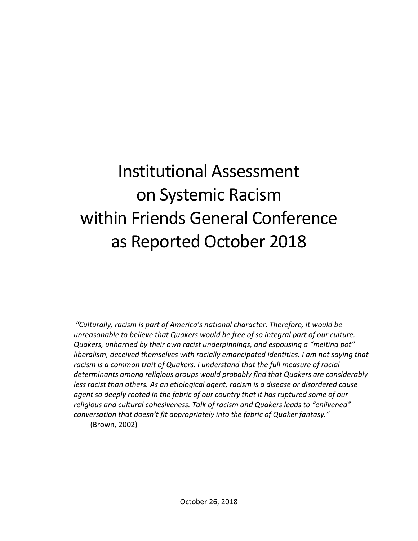# Institutional Assessment on Systemic Racism within Friends General Conference as Reported October 2018

*"Culturally, racism is part of America's national character. Therefore, it would be unreasonable to believe that Quakers would be free of so integral part of our culture. Quakers, unharried by their own racist underpinnings, and espousing a "melting pot" liberalism, deceived themselves with racially emancipated identities. I am not saying that*  racism is a common trait of Quakers. I understand that the full measure of racial *determinants among religious groups would probably find that Quakers are considerably less racist than others. As an etiological agent, racism is a disease or disordered cause agent so deeply rooted in the fabric of our country that it has ruptured some of our religious and cultural cohesiveness. Talk of racism and Quakers leads to "enlivened" conversation that doesn't fit appropriately into the fabric of Quaker fantasy."*

(Brown, 2002)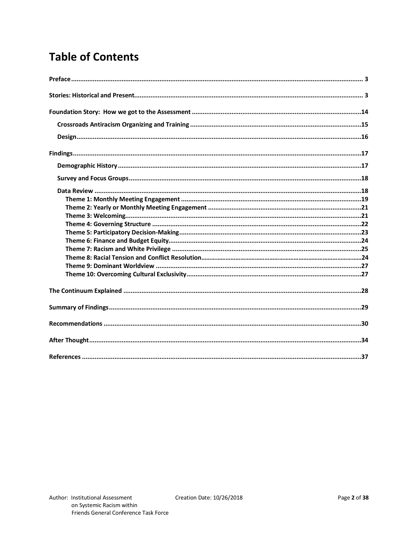# **Table of Contents**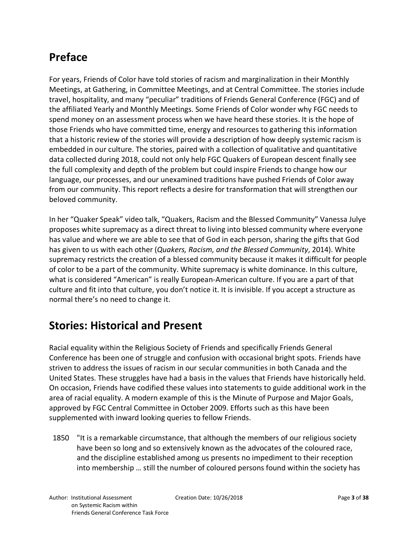# **Preface**

For years, Friends of Color have told stories of racism and marginalization in their Monthly Meetings, at Gathering, in Committee Meetings, and at Central Committee. The stories include travel, hospitality, and many "peculiar" traditions of Friends General Conference (FGC) and of the affiliated Yearly and Monthly Meetings. Some Friends of Color wonder why FGC needs to spend money on an assessment process when we have heard these stories. It is the hope of those Friends who have committed time, energy and resources to gathering this information that a historic review of the stories will provide a description of how deeply systemic racism is embedded in our culture. The stories, paired with a collection of qualitative and quantitative data collected during 2018, could not only help FGC Quakers of European descent finally see the full complexity and depth of the problem but could inspire Friends to change how our language, our processes, and our unexamined traditions have pushed Friends of Color away from our community. This report reflects a desire for transformation that will strengthen our beloved community.

In her "Quaker Speak" video talk, "Quakers, Racism and the Blessed Community" Vanessa Julye proposes white supremacy as a direct threat to living into blessed community where everyone has value and where we are able to see that of God in each person, sharing the gifts that God has given to us with each other (*Quakers, Racism, and the Blessed Community*, 2014). White supremacy restricts the creation of a blessed community because it makes it difficult for people of color to be a part of the community. White supremacy is white dominance. In this culture, what is considered "American" is really European-American culture. If you are a part of that culture and fit into that culture, you don't notice it. It is invisible. If you accept a structure as normal there's no need to change it.

## **Stories: Historical and Present**

Racial equality within the Religious Society of Friends and specifically Friends General Conference has been one of struggle and confusion with occasional bright spots. Friends have striven to address the issues of racism in our secular communities in both Canada and the United States. These struggles have had a basis in the values that Friends have historically held. On occasion, Friends have codified these values into statements to guide additional work in the area of racial equality. A modern example of this is the Minute of Purpose and Major Goals, approved by FGC Central Committee in October 2009. Efforts such as this have been supplemented with inward looking queries to fellow Friends.

1850 "It is a remarkable circumstance, that although the members of our religious society have been so long and so extensively known as the advocates of the coloured race, and the discipline established among us presents no impediment to their reception into membership … still the number of coloured persons found within the society has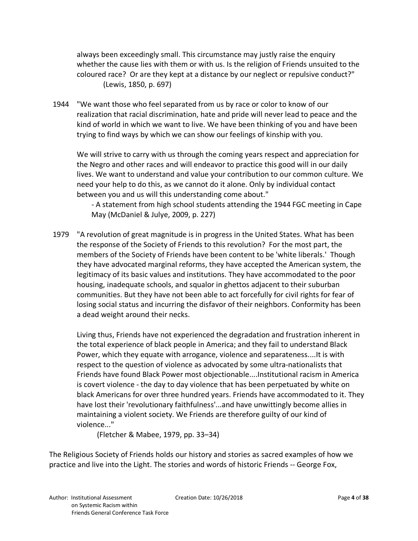always been exceedingly small. This circumstance may justly raise the enquiry whether the cause lies with them or with us. Is the religion of Friends unsuited to the coloured race? Or are they kept at a distance by our neglect or repulsive conduct?" (Lewis, 1850, p. 697)

1944 "We want those who feel separated from us by race or color to know of our realization that racial discrimination, hate and pride will never lead to peace and the kind of world in which we want to live. We have been thinking of you and have been trying to find ways by which we can show our feelings of kinship with you.

We will strive to carry with us through the coming years respect and appreciation for the Negro and other races and will endeavor to practice this good will in our daily lives. We want to understand and value your contribution to our common culture. We need your help to do this, as we cannot do it alone. Only by individual contact between you and us will this understanding come about."

 - A statement from high school students attending the 1944 FGC meeting in Cape May (McDaniel & Julye, 2009, p. 227)

1979 "A revolution of great magnitude is in progress in the United States. What has been the response of the Society of Friends to this revolution? For the most part, the members of the Society of Friends have been content to be 'white liberals.' Though they have advocated marginal reforms, they have accepted the American system, the legitimacy of its basic values and institutions. They have accommodated to the poor housing, inadequate schools, and squalor in ghettos adjacent to their suburban communities. But they have not been able to act forcefully for civil rights for fear of losing social status and incurring the disfavor of their neighbors. Conformity has been a dead weight around their necks.

Living thus, Friends have not experienced the degradation and frustration inherent in the total experience of black people in America; and they fail to understand Black Power, which they equate with arrogance, violence and separateness....It is with respect to the question of violence as advocated by some ultra-nationalists that Friends have found Black Power most objectionable....Institutional racism in America is covert violence - the day to day violence that has been perpetuated by white on black Americans for over three hundred years. Friends have accommodated to it. They have lost their 'revolutionary faithfulness'...and have unwittingly become allies in maintaining a violent society. We Friends are therefore guilty of our kind of violence..."

(Fletcher & Mabee, 1979, pp. 33–34)

The Religious Society of Friends holds our history and stories as sacred examples of how we practice and live into the Light. The stories and words of historic Friends -- George Fox,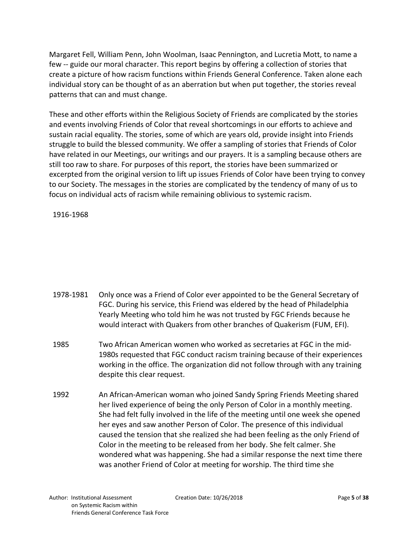Margaret Fell, William Penn, John Woolman, Isaac Pennington, and Lucretia Mott, to name a few -- guide our moral character. This report begins by offering a collection of stories that create a picture of how racism functions within Friends General Conference. Taken alone each individual story can be thought of as an aberration but when put together, the stories reveal patterns that can and must change.

These and other efforts within the Religious Society of Friends are complicated by the stories and events involving Friends of Color that reveal shortcomings in our efforts to achieve and sustain racial equality. The stories, some of which are years old, provide insight into Friends struggle to build the blessed community. We offer a sampling of stories that Friends of Color have related in our Meetings, our writings and our prayers. It is a sampling because others are still too raw to share. For purposes of this report, the stories have been summarized or excerpted from the original version to lift up issues Friends of Color have been trying to convey to our Society. The messages in the stories are complicated by the tendency of many of us to focus on individual acts of racism while remaining oblivious to systemic racism.

 $1916-1968$  between 1916 and 1916 and 1916 and 1968 the Gathering returned to  $C_1$ 

- 1978-1981 Only once was a Friend of Color ever appointed to be the General Secretary of FGC. During his service, this Friend was eldered by the head of Philadelphia Yearly Meeting who told him he was not trusted by FGC Friends because he would interact with Quakers from other branches of Quakerism (FUM, EFI).
- 1985 Two African American women who worked as secretaries at FGC in the mid-1980s requested that FGC conduct racism training because of their experiences working in the office. The organization did not follow through with any training despite this clear request.
- 1992 An African-American woman who joined Sandy Spring Friends Meeting shared her lived experience of being the only Person of Color in a monthly meeting. She had felt fully involved in the life of the meeting until one week she opened her eyes and saw another Person of Color. The presence of this individual caused the tension that she realized she had been feeling as the only Friend of Color in the meeting to be released from her body. She felt calmer. She wondered what was happening. She had a similar response the next time there was another Friend of Color at meeting for worship. The third time she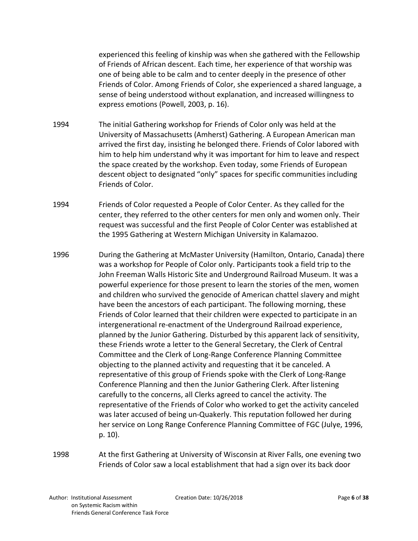experienced this feeling of kinship was when she gathered with the Fellowship of Friends of African descent. Each time, her experience of that worship was one of being able to be calm and to center deeply in the presence of other Friends of Color. Among Friends of Color, she experienced a shared language, a sense of being understood without explanation, and increased willingness to express emotions (Powell, 2003, p. 16).

- 1994 The initial Gathering workshop for Friends of Color only was held at the University of Massachusetts (Amherst) Gathering. A European American man arrived the first day, insisting he belonged there. Friends of Color labored with him to help him understand why it was important for him to leave and respect the space created by the workshop. Even today, some Friends of European descent object to designated "only" spaces for specific communities including Friends of Color.
- 1994 Friends of Color requested a People of Color Center. As they called for the center, they referred to the other centers for men only and women only. Their request was successful and the first People of Color Center was established at the 1995 Gathering at Western Michigan University in Kalamazoo.
- 1996 During the Gathering at McMaster University (Hamilton, Ontario, Canada) there was a workshop for People of Color only. Participants took a field trip to the John Freeman Walls Historic Site and Underground Railroad Museum. It was a powerful experience for those present to learn the stories of the men, women and children who survived the genocide of American chattel slavery and might have been the ancestors of each participant. The following morning, these Friends of Color learned that their children were expected to participate in an intergenerational re-enactment of the Underground Railroad experience, planned by the Junior Gathering. Disturbed by this apparent lack of sensitivity, these Friends wrote a letter to the General Secretary, the Clerk of Central Committee and the Clerk of Long-Range Conference Planning Committee objecting to the planned activity and requesting that it be canceled. A representative of this group of Friends spoke with the Clerk of Long-Range Conference Planning and then the Junior Gathering Clerk. After listening carefully to the concerns, all Clerks agreed to cancel the activity. The representative of the Friends of Color who worked to get the activity canceled was later accused of being un-Quakerly. This reputation followed her during her service on Long Range Conference Planning Committee of FGC (Julye, 1996, p. 10).
- 1998 At the first Gathering at University of Wisconsin at River Falls, one evening two Friends of Color saw a local establishment that had a sign over its back door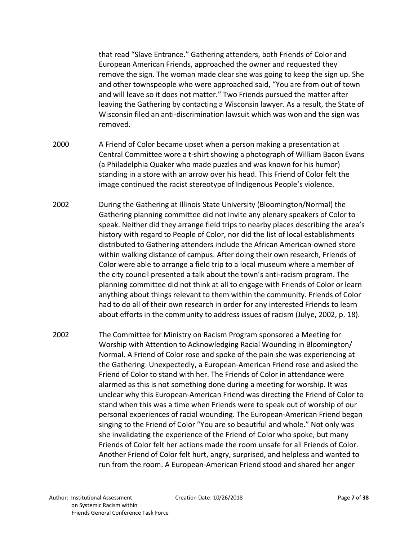that read "Slave Entrance." Gathering attenders, both Friends of Color and European American Friends, approached the owner and requested they remove the sign. The woman made clear she was going to keep the sign up. She and other townspeople who were approached said, "You are from out of town and will leave so it does not matter." Two Friends pursued the matter after leaving the Gathering by contacting a Wisconsin lawyer. As a result, the State of Wisconsin filed an anti-discrimination lawsuit which was won and the sign was removed.

- 2000 A Friend of Color became upset when a person making a presentation at Central Committee wore a t-shirt showing a photograph of William Bacon Evans (a Philadelphia Quaker who made puzzles and was known for his humor) standing in a store with an arrow over his head. This Friend of Color felt the image continued the racist stereotype of Indigenous People's violence.
- 2002 During the Gathering at Illinois State University (Bloomington/Normal) the Gathering planning committee did not invite any plenary speakers of Color to speak. Neither did they arrange field trips to nearby places describing the area's history with regard to People of Color, nor did the list of local establishments distributed to Gathering attenders include the African American-owned store within walking distance of campus. After doing their own research, Friends of Color were able to arrange a field trip to a local museum where a member of the city council presented a talk about the town's anti-racism program. The planning committee did not think at all to engage with Friends of Color or learn anything about things relevant to them within the community. Friends of Color had to do all of their own research in order for any interested Friends to learn about efforts in the community to address issues of racism (Julye, 2002, p. 18).
- 2002 The Committee for Ministry on Racism Program sponsored a Meeting for Worship with Attention to Acknowledging Racial Wounding in Bloomington/ Normal. A Friend of Color rose and spoke of the pain she was experiencing at the Gathering. Unexpectedly, a European-American Friend rose and asked the Friend of Color to stand with her. The Friends of Color in attendance were alarmed as this is not something done during a meeting for worship. It was unclear why this European-American Friend was directing the Friend of Color to stand when this was a time when Friends were to speak out of worship of our personal experiences of racial wounding. The European-American Friend began singing to the Friend of Color "You are so beautiful and whole." Not only was she invalidating the experience of the Friend of Color who spoke, but many Friends of Color felt her actions made the room unsafe for all Friends of Color. Another Friend of Color felt hurt, angry, surprised, and helpless and wanted to run from the room. A European-American Friend stood and shared her anger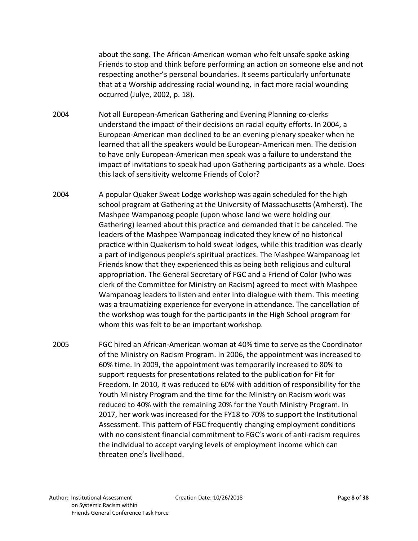about the song. The African-American woman who felt unsafe spoke asking Friends to stop and think before performing an action on someone else and not respecting another's personal boundaries. It seems particularly unfortunate that at a Worship addressing racial wounding, in fact more racial wounding occurred (Julye, 2002, p. 18).

- 2004 Not all European-American Gathering and Evening Planning co-clerks understand the impact of their decisions on racial equity efforts. In 2004, a European-American man declined to be an evening plenary speaker when he learned that all the speakers would be European-American men. The decision to have only European-American men speak was a failure to understand the impact of invitations to speak had upon Gathering participants as a whole. Does this lack of sensitivity welcome Friends of Color?
- 2004 A popular Quaker Sweat Lodge workshop was again scheduled for the high school program at Gathering at the University of Massachusetts (Amherst). The Mashpee Wampanoag people (upon whose land we were holding our Gathering) learned about this practice and demanded that it be canceled. The leaders of the Mashpee Wampanoag indicated they knew of no historical practice within Quakerism to hold sweat lodges, while this tradition was clearly a part of indigenous people's spiritual practices. The Mashpee Wampanoag let Friends know that they experienced this as being both religious and cultural appropriation. The General Secretary of FGC and a Friend of Color (who was clerk of the Committee for Ministry on Racism) agreed to meet with Mashpee Wampanoag leaders to listen and enter into dialogue with them. This meeting was a traumatizing experience for everyone in attendance. The cancellation of the workshop was tough for the participants in the High School program for whom this was felt to be an important workshop.
- 2005 FGC hired an African-American woman at 40% time to serve as the Coordinator of the Ministry on Racism Program. In 2006, the appointment was increased to 60% time. In 2009, the appointment was temporarily increased to 80% to support requests for presentations related to the publication for Fit for Freedom. In 2010, it was reduced to 60% with addition of responsibility for the Youth Ministry Program and the time for the Ministry on Racism work was reduced to 40% with the remaining 20% for the Youth Ministry Program. In 2017, her work was increased for the FY18 to 70% to support the Institutional Assessment. This pattern of FGC frequently changing employment conditions with no consistent financial commitment to FGC's work of anti-racism requires the individual to accept varying levels of employment income which can threaten one's livelihood.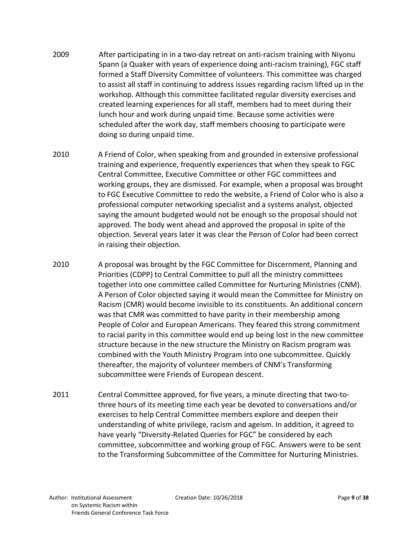- 2009 After participating in in a two-day retreat on anti-racism training with Niyonu Spann (a Quaker with years of experience doing anti-racism training), FGC staff formed a Staff Diversity Committee of volunteers. This committee was charged to assist all staff in continuing to address issues regarding racism lifted up in the workshop. Although this committee facilitated regular diversity exercises and created learning experiences for all staff, members had to meet during their lunch hour and work during unpaid time. Because some activities were scheduled after the work day, staff members choosing to participate were doing so during unpaid time.
- 2010 A Friend of Color, when speaking from and grounded in extensive professional training and experience, frequently experiences that when they speak to FGC Central Committee, Executive Committee or other FGC committees and working groups, they are dismissed. For example, when a proposal was brought to FGC Executive Committee to redo the website, a Friend of Color who is also a professional computer networking specialist and a systems analyst, objected saying the amount budgeted would not be enough so the proposal should not approved. The body went ahead and approved the proposal in spite of the objection. Several years later it was clear the Person of Color had been correct in raising their objection.
- 2010 A proposal was brought by the FGC Committee for Discernment, Planning and Priorities (CDPP) to Central Committee to pull all the ministry committees together into one committee called Committee for Nurturing Ministries (CNM). A Person of Color objected saying it would mean the Committee for Ministry on Racism (CMR) would become invisible to its constituents. An additional concern was that CMR was committed to have parity in their membership among People of Color and European Americans. They feared this strong commitment to racial parity in this committee would end up being lost in the new committee structure because in the new structure the Ministry on Racism program was combined with the Youth Ministry Program into one subcommittee. Quickly thereafter, the majority of volunteer members of CNM's Transforming subcommittee were Friends of European descent.
- 2011 Central Committee approved, for five years, a minute directing that two-tothree hours of its meeting time each year be devoted to conversations and/or exercises to help Central Committee members explore and deepen their understanding of white privilege, racism and ageism. In addition, it agreed to have yearly "Diversity-Related Queries for FGC" be considered by each committee, subcommittee and working group of FGC. Answers were to be sent to the Transforming Subcommittee of the Committee for Nurturing Ministries.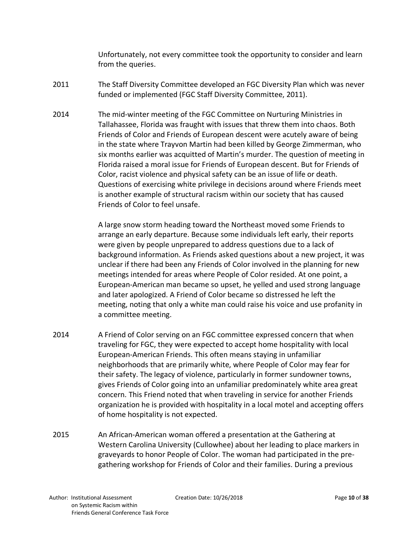Unfortunately, not every committee took the opportunity to consider and learn from the queries.

- 2011 The Staff Diversity Committee developed an FGC Diversity Plan which was never funded or implemented (FGC Staff Diversity Committee, 2011).
- 2014 The mid-winter meeting of the FGC Committee on Nurturing Ministries in Tallahassee, Florida was fraught with issues that threw them into chaos. Both Friends of Color and Friends of European descent were acutely aware of being in the state where Trayvon Martin had been killed by George Zimmerman, who six months earlier was acquitted of Martin's murder. The question of meeting in Florida raised a moral issue for Friends of European descent. But for Friends of Color, racist violence and physical safety can be an issue of life or death. Questions of exercising white privilege in decisions around where Friends meet is another example of structural racism within our society that has caused Friends of Color to feel unsafe.

A large snow storm heading toward the Northeast moved some Friends to arrange an early departure. Because some individuals left early, their reports were given by people unprepared to address questions due to a lack of background information. As Friends asked questions about a new project, it was unclear if there had been any Friends of Color involved in the planning for new meetings intended for areas where People of Color resided. At one point, a European-American man became so upset, he yelled and used strong language and later apologized. A Friend of Color became so distressed he left the meeting, noting that only a white man could raise his voice and use profanity in a committee meeting.

- 2014 A Friend of Color serving on an FGC committee expressed concern that when traveling for FGC, they were expected to accept home hospitality with local European-American Friends. This often means staying in unfamiliar neighborhoods that are primarily white, where People of Color may fear for their safety. The legacy of violence, particularly in former sundowner towns, gives Friends of Color going into an unfamiliar predominately white area great concern. This Friend noted that when traveling in service for another Friends organization he is provided with hospitality in a local motel and accepting offers of home hospitality is not expected.
- 2015 An African-American woman offered a presentation at the Gathering at Western Carolina University (Cullowhee) about her leading to place markers in graveyards to honor People of Color. The woman had participated in the pregathering workshop for Friends of Color and their families. During a previous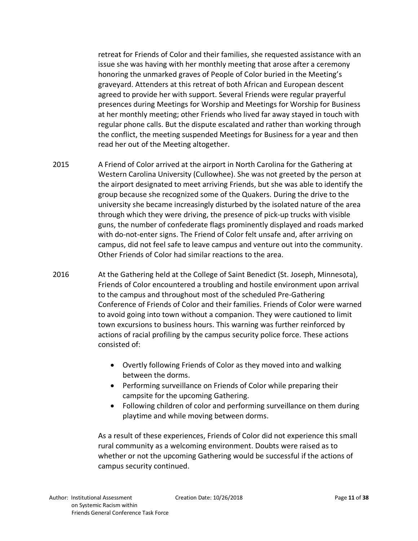retreat for Friends of Color and their families, she requested assistance with an issue she was having with her monthly meeting that arose after a ceremony honoring the unmarked graves of People of Color buried in the Meeting's graveyard. Attenders at this retreat of both African and European descent agreed to provide her with support. Several Friends were regular prayerful presences during Meetings for Worship and Meetings for Worship for Business at her monthly meeting; other Friends who lived far away stayed in touch with regular phone calls. But the dispute escalated and rather than working through the conflict, the meeting suspended Meetings for Business for a year and then read her out of the Meeting altogether.

- 2015 A Friend of Color arrived at the airport in North Carolina for the Gathering at Western Carolina University (Cullowhee). She was not greeted by the person at the airport designated to meet arriving Friends, but she was able to identify the group because she recognized some of the Quakers. During the drive to the university she became increasingly disturbed by the isolated nature of the area through which they were driving, the presence of pick-up trucks with visible guns, the number of confederate flags prominently displayed and roads marked with do-not-enter signs. The Friend of Color felt unsafe and, after arriving on campus, did not feel safe to leave campus and venture out into the community. Other Friends of Color had similar reactions to the area.
- 2016 At the Gathering held at the College of Saint Benedict (St. Joseph, Minnesota), Friends of Color encountered a troubling and hostile environment upon arrival to the campus and throughout most of the scheduled Pre-Gathering Conference of Friends of Color and their families. Friends of Color were warned to avoid going into town without a companion. They were cautioned to limit town excursions to business hours. This warning was further reinforced by actions of racial profiling by the campus security police force. These actions consisted of:
	- Overtly following Friends of Color as they moved into and walking between the dorms.
	- Performing surveillance on Friends of Color while preparing their campsite for the upcoming Gathering.
	- Following children of color and performing surveillance on them during playtime and while moving between dorms.

As a result of these experiences, Friends of Color did not experience this small rural community as a welcoming environment. Doubts were raised as to whether or not the upcoming Gathering would be successful if the actions of campus security continued.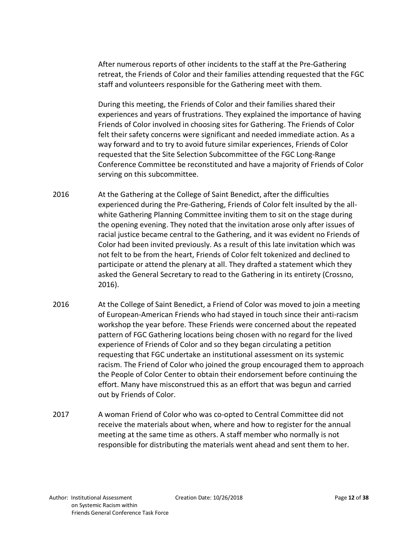After numerous reports of other incidents to the staff at the Pre-Gathering retreat, the Friends of Color and their families attending requested that the FGC staff and volunteers responsible for the Gathering meet with them.

During this meeting, the Friends of Color and their families shared their experiences and years of frustrations. They explained the importance of having Friends of Color involved in choosing sites for Gathering. The Friends of Color felt their safety concerns were significant and needed immediate action. As a way forward and to try to avoid future similar experiences, Friends of Color requested that the Site Selection Subcommittee of the FGC Long-Range Conference Committee be reconstituted and have a majority of Friends of Color serving on this subcommittee.

- 2016 At the Gathering at the College of Saint Benedict, after the difficulties experienced during the Pre-Gathering, Friends of Color felt insulted by the allwhite Gathering Planning Committee inviting them to sit on the stage during the opening evening. They noted that the invitation arose only after issues of racial justice became central to the Gathering, and it was evident no Friends of Color had been invited previously. As a result of this late invitation which was not felt to be from the heart, Friends of Color felt tokenized and declined to participate or attend the plenary at all. They drafted a statement which they asked the General Secretary to read to the Gathering in its entirety (Crossno, 2016).
- 2016 At the College of Saint Benedict, a Friend of Color was moved to join a meeting of European-American Friends who had stayed in touch since their anti-racism workshop the year before. These Friends were concerned about the repeated pattern of FGC Gathering locations being chosen with no regard for the lived experience of Friends of Color and so they began circulating a petition requesting that FGC undertake an institutional assessment on its systemic racism. The Friend of Color who joined the group encouraged them to approach the People of Color Center to obtain their endorsement before continuing the effort. Many have misconstrued this as an effort that was begun and carried out by Friends of Color.
- 2017 A woman Friend of Color who was co-opted to Central Committee did not receive the materials about when, where and how to register for the annual meeting at the same time as others. A staff member who normally is not responsible for distributing the materials went ahead and sent them to her.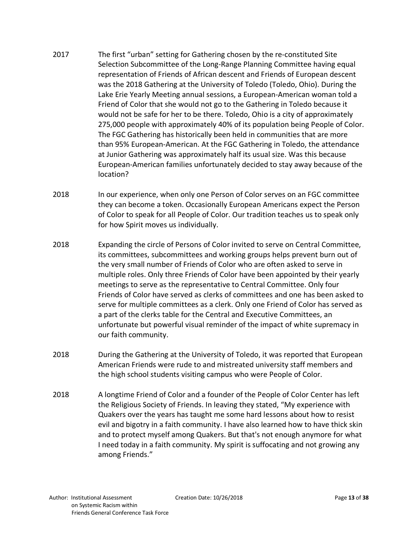- 2017 The first "urban" setting for Gathering chosen by the re-constituted Site Selection Subcommittee of the Long-Range Planning Committee having equal representation of Friends of African descent and Friends of European descent was the 2018 Gathering at the University of Toledo (Toledo, Ohio). During the Lake Erie Yearly Meeting annual sessions, a European-American woman told a Friend of Color that she would not go to the Gathering in Toledo because it would not be safe for her to be there. Toledo, Ohio is a city of approximately 275,000 people with approximately 40% of its population being People of Color. The FGC Gathering has historically been held in communities that are more than 95% European-American. At the FGC Gathering in Toledo, the attendance at Junior Gathering was approximately half its usual size. Was this because European-American families unfortunately decided to stay away because of the location?
- 2018 In our experience, when only one Person of Color serves on an FGC committee they can become a token. Occasionally European Americans expect the Person of Color to speak for all People of Color. Our tradition teaches us to speak only for how Spirit moves us individually.
- 2018 Expanding the circle of Persons of Color invited to serve on Central Committee, its committees, subcommittees and working groups helps prevent burn out of the very small number of Friends of Color who are often asked to serve in multiple roles. Only three Friends of Color have been appointed by their yearly meetings to serve as the representative to Central Committee. Only four Friends of Color have served as clerks of committees and one has been asked to serve for multiple committees as a clerk. Only one Friend of Color has served as a part of the clerks table for the Central and Executive Committees, an unfortunate but powerful visual reminder of the impact of white supremacy in our faith community.
- 2018 During the Gathering at the University of Toledo, it was reported that European American Friends were rude to and mistreated university staff members and the high school students visiting campus who were People of Color.
- 2018 A longtime Friend of Color and a founder of the People of Color Center has left the Religious Society of Friends. In leaving they stated, "My experience with Quakers over the years has taught me some hard lessons about how to resist evil and bigotry in a faith community. I have also learned how to have thick skin and to protect myself among Quakers. But that's not enough anymore for what I need today in a faith community. My spirit is suffocating and not growing any among Friends."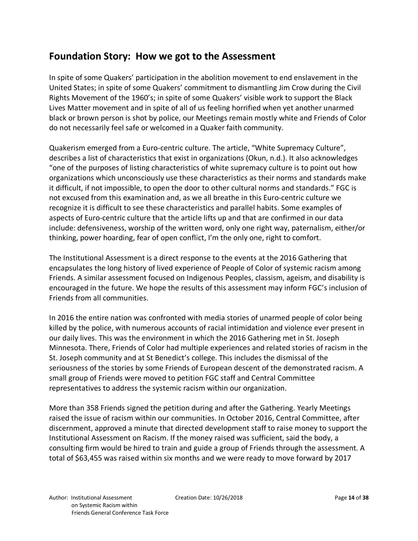### **Foundation Story: How we got to the Assessment**

In spite of some Quakers' participation in the abolition movement to end enslavement in the United States; in spite of some Quakers' commitment to dismantling Jim Crow during the Civil Rights Movement of the 1960's; in spite of some Quakers' visible work to support the Black Lives Matter movement and in spite of all of us feeling horrified when yet another unarmed black or brown person is shot by police, our Meetings remain mostly white and Friends of Color do not necessarily feel safe or welcomed in a Quaker faith community.

Quakerism emerged from a Euro-centric culture. The article, "White Supremacy Culture", describes a list of characteristics that exist in organizations (Okun, n.d.). It also acknowledges "one of the purposes of listing characteristics of white supremacy culture is to point out how organizations which unconsciously use these characteristics as their norms and standards make it difficult, if not impossible, to open the door to other cultural norms and standards." FGC is not excused from this examination and, as we all breathe in this Euro-centric culture we recognize it is difficult to see these characteristics and parallel habits. Some examples of aspects of Euro-centric culture that the article lifts up and that are confirmed in our data include: defensiveness, worship of the written word, only one right way, paternalism, either/or thinking, power hoarding, fear of open conflict, I'm the only one, right to comfort.

The Institutional Assessment is a direct response to the events at the 2016 Gathering that encapsulates the long history of lived experience of People of Color of systemic racism among Friends. A similar assessment focused on Indigenous Peoples, classism, ageism, and disability is encouraged in the future. We hope the results of this assessment may inform FGC's inclusion of Friends from all communities.

In 2016 the entire nation was confronted with media stories of unarmed people of color being killed by the police, with numerous accounts of racial intimidation and violence ever present in our daily lives. This was the environment in which the 2016 Gathering met in St. Joseph Minnesota. There, Friends of Color had multiple experiences and related stories of racism in the St. Joseph community and at St Benedict's college. This includes the dismissal of the seriousness of the stories by some Friends of European descent of the demonstrated racism. A small group of Friends were moved to petition FGC staff and Central Committee representatives to address the systemic racism within our organization.

More than 358 Friends signed the petition during and after the Gathering. Yearly Meetings raised the issue of racism within our communities. In October 2016, Central Committee, after discernment, approved a minute that directed development staff to raise money to support the Institutional Assessment on Racism. If the money raised was sufficient, said the body, a consulting firm would be hired to train and guide a group of Friends through the assessment. A total of \$63,455 was raised within six months and we were ready to move forward by 2017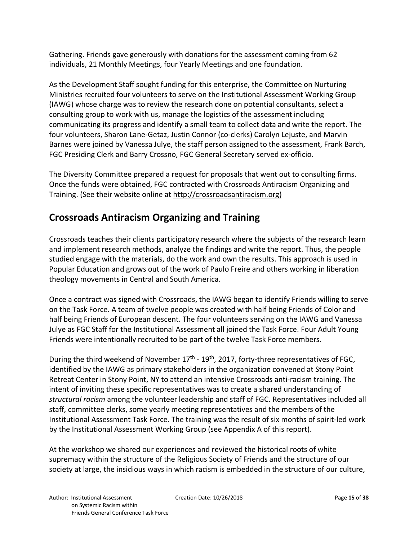Gathering. Friends gave generously with donations for the assessment coming from 62 individuals, 21 Monthly Meetings, four Yearly Meetings and one foundation.

As the Development Staff sought funding for this enterprise, the Committee on Nurturing Ministries recruited four volunteers to serve on the Institutional Assessment Working Group (IAWG) whose charge was to review the research done on potential consultants, select a consulting group to work with us, manage the logistics of the assessment including communicating its progress and identify a small team to collect data and write the report. The four volunteers, Sharon Lane-Getaz, Justin Connor (co-clerks) Carolyn Lejuste, and Marvin Barnes were joined by Vanessa Julye, the staff person assigned to the assessment, Frank Barch, FGC Presiding Clerk and Barry Crossno, FGC General Secretary served ex-officio.

The Diversity Committee prepared a request for proposals that went out to consulting firms. Once the funds were obtained, FGC contracted with Crossroads Antiracism Organizing and Training. (See their website online at http://crossroadsantiracism.org)

### **Crossroads Antiracism Organizing and Training**

Crossroads teaches their clients participatory research where the subjects of the research learn and implement research methods, analyze the findings and write the report. Thus, the people studied engage with the materials, do the work and own the results. This approach is used in Popular Education and grows out of the work of Paulo Freire and others working in liberation theology movements in Central and South America.

Once a contract was signed with Crossroads, the IAWG began to identify Friends willing to serve on the Task Force. A team of twelve people was created with half being Friends of Color and half being Friends of European descent. The four volunteers serving on the IAWG and Vanessa Julye as FGC Staff for the Institutional Assessment all joined the Task Force. Four Adult Young Friends were intentionally recruited to be part of the twelve Task Force members.

During the third weekend of November  $17<sup>th</sup>$  -  $19<sup>th</sup>$ , 2017, forty-three representatives of FGC, identified by the IAWG as primary stakeholders in the organization convened at Stony Point Retreat Center in Stony Point, NY to attend an intensive Crossroads anti-racism training. The intent of inviting these specific representatives was to create a shared understanding of *structural racism* among the volunteer leadership and staff of FGC. Representatives included all staff, committee clerks, some yearly meeting representatives and the members of the Institutional Assessment Task Force. The training was the result of six months of spirit-led work by the Institutional Assessment Working Group (see Appendix A of this report).

At the workshop we shared our experiences and reviewed the historical roots of white supremacy within the structure of the Religious Society of Friends and the structure of our society at large, the insidious ways in which racism is embedded in the structure of our culture,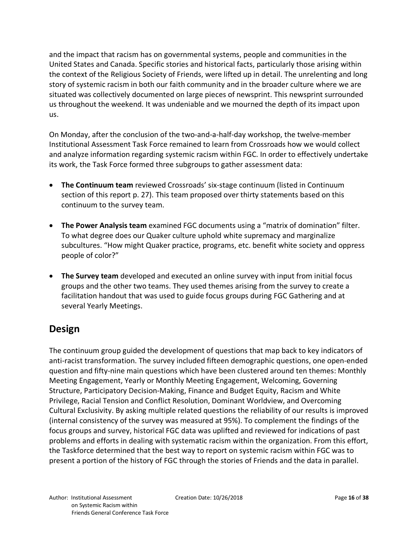and the impact that racism has on governmental systems, people and communities in the United States and Canada. Specific stories and historical facts, particularly those arising within the context of the Religious Society of Friends, were lifted up in detail. The unrelenting and long story of systemic racism in both our faith community and in the broader culture where we are situated was collectively documented on large pieces of newsprint. This newsprint surrounded us throughout the weekend. It was undeniable and we mourned the depth of its impact upon us.

On Monday, after the conclusion of the two-and-a-half-day workshop, the twelve-member Institutional Assessment Task Force remained to learn from Crossroads how we would collect and analyze information regarding systemic racism within FGC. In order to effectively undertake its work, the Task Force formed three subgroups to gather assessment data:

- **The Continuum team** reviewed Crossroads' six-stage continuum (listed in Continuum section of this report p. 27). This team proposed over thirty statements based on this continuum to the survey team.
- **The Power Analysis team** examined FGC documents using a "matrix of domination" filter. To what degree does our Quaker culture uphold white supremacy and marginalize subcultures. "How might Quaker practice, programs, etc. benefit white society and oppress people of color?"
- **The Survey team** developed and executed an online survey with input from initial focus groups and the other two teams. They used themes arising from the survey to create a facilitation handout that was used to guide focus groups during FGC Gathering and at several Yearly Meetings.

### **Design**

The continuum group guided the development of questions that map back to key indicators of anti-racist transformation. The survey included fifteen demographic questions, one open-ended question and fifty-nine main questions which have been clustered around ten themes: Monthly Meeting Engagement, Yearly or Monthly Meeting Engagement, Welcoming, Governing Structure, Participatory Decision-Making, Finance and Budget Equity, Racism and White Privilege, Racial Tension and Conflict Resolution, Dominant Worldview, and Overcoming Cultural Exclusivity. By asking multiple related questions the reliability of our results is improved (internal consistency of the survey was measured at 95%). To complement the findings of the focus groups and survey, historical FGC data was uplifted and reviewed for indications of past problems and efforts in dealing with systematic racism within the organization. From this effort, the Taskforce determined that the best way to report on systemic racism within FGC was to present a portion of the history of FGC through the stories of Friends and the data in parallel.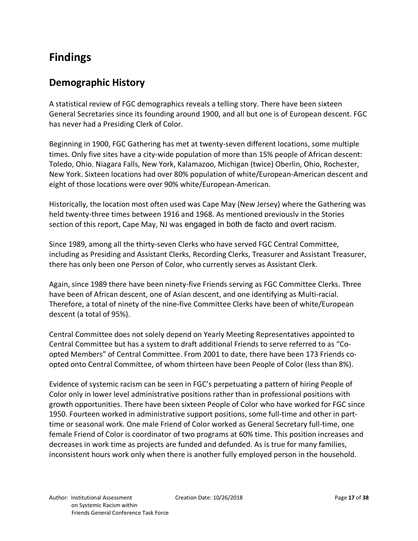## **Findings**

#### **Demographic History**

A statistical review of FGC demographics reveals a telling story. There have been sixteen General Secretaries since its founding around 1900, and all but one is of European descent. FGC has never had a Presiding Clerk of Color.

Beginning in 1900, FGC Gathering has met at twenty-seven different locations, some multiple times. Only five sites have a city-wide population of more than 15% people of African descent: Toledo, Ohio. Niagara Falls, New York, Kalamazoo, Michigan (twice) Oberlin, Ohio, Rochester, New York. Sixteen locations had over 80% population of white/European-American descent and eight of those locations were over 90% white/European-American.

Historically, the location most often used was Cape May (New Jersey) where the Gathering was held twenty-three times between 1916 and 1968. As mentioned previously in the Stories section of this report, Cape May, NJ was engaged in both de facto and overt racism.

Since 1989, among all the thirty-seven Clerks who have served FGC Central Committee, including as Presiding and Assistant Clerks, Recording Clerks, Treasurer and Assistant Treasurer, there has only been one Person of Color, who currently serves as Assistant Clerk.

Again, since 1989 there have been ninety-five Friends serving as FGC Committee Clerks. Three have been of African descent, one of Asian descent, and one identifying as Multi-racial. Therefore, a total of ninety of the nine-five Committee Clerks have been of white/European descent (a total of 95%).

Central Committee does not solely depend on Yearly Meeting Representatives appointed to Central Committee but has a system to draft additional Friends to serve referred to as "Coopted Members" of Central Committee. From 2001 to date, there have been 173 Friends coopted onto Central Committee, of whom thirteen have been People of Color (less than 8%).

Evidence of systemic racism can be seen in FGC's perpetuating a pattern of hiring People of Color only in lower level administrative positions rather than in professional positions with growth opportunities. There have been sixteen People of Color who have worked for FGC since 1950. Fourteen worked in administrative support positions, some full-time and other in parttime or seasonal work. One male Friend of Color worked as General Secretary full-time, one female Friend of Color is coordinator of two programs at 60% time. This position increases and decreases in work time as projects are funded and defunded. As is true for many families, inconsistent hours work only when there is another fully employed person in the household.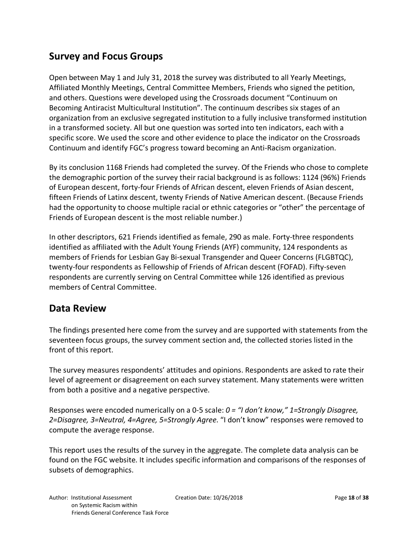### **Survey and Focus Groups**

Open between May 1 and July 31, 2018 the survey was distributed to all Yearly Meetings, Affiliated Monthly Meetings, Central Committee Members, Friends who signed the petition, and others. Questions were developed using the Crossroads document "Continuum on Becoming Antiracist Multicultural Institution". The continuum describes six stages of an organization from an exclusive segregated institution to a fully inclusive transformed institution in a transformed society. All but one question was sorted into ten indicators, each with a specific score. We used the score and other evidence to place the indicator on the Crossroads Continuum and identify FGC's progress toward becoming an Anti-Racism organization.

By its conclusion 1168 Friends had completed the survey. Of the Friends who chose to complete the demographic portion of the survey their racial background is as follows: 1124 (96%) Friends of European descent, forty-four Friends of African descent, eleven Friends of Asian descent, fifteen Friends of Latinx descent, twenty Friends of Native American descent. (Because Friends had the opportunity to choose multiple racial or ethnic categories or "other" the percentage of Friends of European descent is the most reliable number.)

In other descriptors, 621 Friends identified as female, 290 as male. Forty-three respondents identified as affiliated with the Adult Young Friends (AYF) community, 124 respondents as members of Friends for Lesbian Gay Bi-sexual Transgender and Queer Concerns (FLGBTQC), twenty-four respondents as Fellowship of Friends of African descent (FOFAD). Fifty-seven respondents are currently serving on Central Committee while 126 identified as previous members of Central Committee.

#### **Data Review**

The findings presented here come from the survey and are supported with statements from the seventeen focus groups, the survey comment section and, the collected stories listed in the front of this report.

The survey measures respondents' attitudes and opinions. Respondents are asked to rate their level of agreement or disagreement on each survey statement. Many statements were written from both a positive and a negative perspective.

Responses were encoded numerically on a 0-5 scale: *0 = "I don't know," 1=Strongly Disagree, 2=Disagree, 3=Neutral, 4=Agree, 5=Strongly Agree*. "I don't know" responses were removed to compute the average response.

This report uses the results of the survey in the aggregate. The complete data analysis can be found on the FGC website. It includes specific information and comparisons of the responses of subsets of demographics.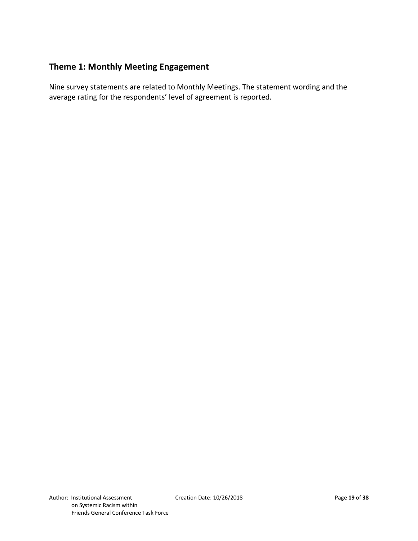#### **Theme 1: Monthly Meeting Engagement**

Nine survey statements are related to Monthly Meetings. The statement wording and the average rating for the respondents' level of agreement is reported.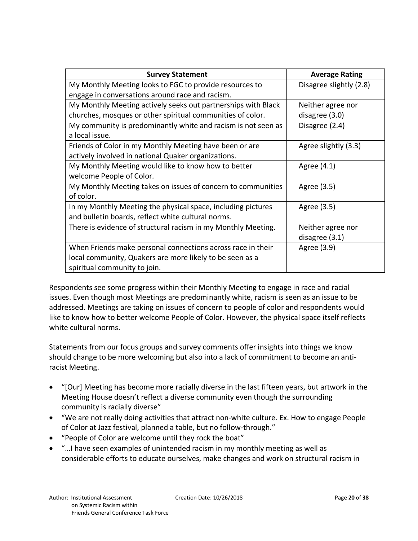| <b>Survey Statement</b>                                       | <b>Average Rating</b>   |
|---------------------------------------------------------------|-------------------------|
| My Monthly Meeting looks to FGC to provide resources to       | Disagree slightly (2.8) |
| engage in conversations around race and racism.               |                         |
| My Monthly Meeting actively seeks out partnerships with Black | Neither agree nor       |
| churches, mosques or other spiritual communities of color.    | disagree (3.0)          |
| My community is predominantly white and racism is not seen as | Disagree (2.4)          |
| a local issue.                                                |                         |
| Friends of Color in my Monthly Meeting have been or are       | Agree slightly (3.3)    |
| actively involved in national Quaker organizations.           |                         |
| My Monthly Meeting would like to know how to better           | Agree (4.1)             |
| welcome People of Color.                                      |                         |
| My Monthly Meeting takes on issues of concern to communities  | Agree (3.5)             |
| of color.                                                     |                         |
| In my Monthly Meeting the physical space, including pictures  | Agree (3.5)             |
| and bulletin boards, reflect white cultural norms.            |                         |
| There is evidence of structural racism in my Monthly Meeting. | Neither agree nor       |
|                                                               | disagree (3.1)          |
| When Friends make personal connections across race in their   | Agree (3.9)             |
| local community, Quakers are more likely to be seen as a      |                         |
| spiritual community to join.                                  |                         |

Respondents see some progress within their Monthly Meeting to engage in race and racial issues. Even though most Meetings are predominantly white, racism is seen as an issue to be addressed. Meetings are taking on issues of concern to people of color and respondents would like to know how to better welcome People of Color. However, the physical space itself reflects white cultural norms.

Statements from our focus groups and survey comments offer insights into things we know should change to be more welcoming but also into a lack of commitment to become an antiracist Meeting.

- "[Our] Meeting has become more racially diverse in the last fifteen years, but artwork in the Meeting House doesn't reflect a diverse community even though the surrounding community is racially diverse"
- "We are not really doing activities that attract non-white culture. Ex. How to engage People of Color at Jazz festival, planned a table, but no follow-through."
- "People of Color are welcome until they rock the boat"
- "…I have seen examples of unintended racism in my monthly meeting as well as considerable efforts to educate ourselves, make changes and work on structural racism in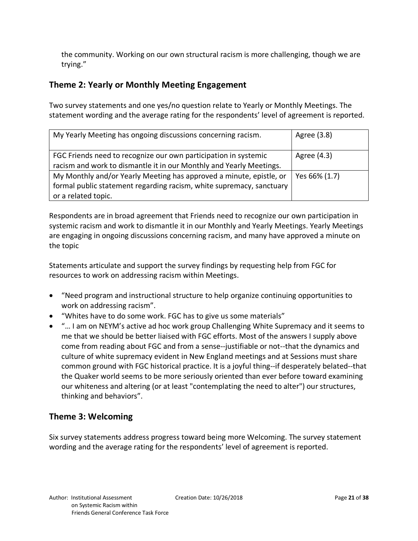the community. Working on our own structural racism is more challenging, though we are trying."

#### **Theme 2: Yearly or Monthly Meeting Engagement**

Two survey statements and one yes/no question relate to Yearly or Monthly Meetings. The statement wording and the average rating for the respondents' level of agreement is reported.

| My Yearly Meeting has ongoing discussions concerning racism.                                                                                                       | Agree (3.8)   |
|--------------------------------------------------------------------------------------------------------------------------------------------------------------------|---------------|
| FGC Friends need to recognize our own participation in systemic<br>racism and work to dismantle it in our Monthly and Yearly Meetings.                             | Agree (4.3)   |
| My Monthly and/or Yearly Meeting has approved a minute, epistle, or<br>formal public statement regarding racism, white supremacy, sanctuary<br>or a related topic. | Yes 66% (1.7) |

Respondents are in broad agreement that Friends need to recognize our own participation in systemic racism and work to dismantle it in our Monthly and Yearly Meetings. Yearly Meetings are engaging in ongoing discussions concerning racism, and many have approved a minute on the topic

Statements articulate and support the survey findings by requesting help from FGC for resources to work on addressing racism within Meetings.

- "Need program and instructional structure to help organize continuing opportunities to work on addressing racism".
- "Whites have to do some work. FGC has to give us some materials"
- "… I am on NEYM's active ad hoc work group Challenging White Supremacy and it seems to me that we should be better liaised with FGC efforts. Most of the answers I supply above come from reading about FGC and from a sense--justifiable or not--that the dynamics and culture of white supremacy evident in New England meetings and at Sessions must share common ground with FGC historical practice. It is a joyful thing--if desperately belated--that the Quaker world seems to be more seriously oriented than ever before toward examining our whiteness and altering (or at least "contemplating the need to alter") our structures, thinking and behaviors".

#### **Theme 3: Welcoming**

Six survey statements address progress toward being more Welcoming. The survey statement wording and the average rating for the respondents' level of agreement is reported.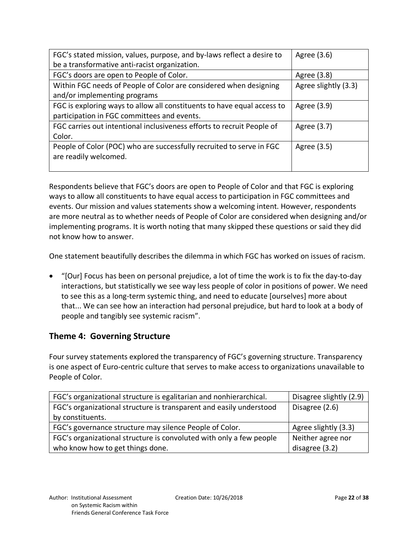| FGC's stated mission, values, purpose, and by-laws reflect a desire to  | Agree (3.6)          |
|-------------------------------------------------------------------------|----------------------|
| be a transformative anti-racist organization.                           |                      |
| FGC's doors are open to People of Color.                                | Agree (3.8)          |
| Within FGC needs of People of Color are considered when designing       | Agree slightly (3.3) |
| and/or implementing programs                                            |                      |
| FGC is exploring ways to allow all constituents to have equal access to | Agree (3.9)          |
| participation in FGC committees and events.                             |                      |
| FGC carries out intentional inclusiveness efforts to recruit People of  | Agree (3.7)          |
| Color.                                                                  |                      |
| People of Color (POC) who are successfully recruited to serve in FGC    | Agree (3.5)          |
| are readily welcomed.                                                   |                      |
|                                                                         |                      |

Respondents believe that FGC's doors are open to People of Color and that FGC is exploring ways to allow all constituents to have equal access to participation in FGC committees and events. Our mission and values statements show a welcoming intent. However, respondents are more neutral as to whether needs of People of Color are considered when designing and/or implementing programs. It is worth noting that many skipped these questions or said they did not know how to answer.

One statement beautifully describes the dilemma in which FGC has worked on issues of racism.

• "[Our] Focus has been on personal prejudice, a lot of time the work is to fix the day-to-day interactions, but statistically we see way less people of color in positions of power. We need to see this as a long-term systemic thing, and need to educate [ourselves] more about that... We can see how an interaction had personal prejudice, but hard to look at a body of people and tangibly see systemic racism".

#### **Theme 4: Governing Structure**

Four survey statements explored the transparency of FGC's governing structure. Transparency is one aspect of Euro-centric culture that serves to make access to organizations unavailable to People of Color.

| FGC's organizational structure is egalitarian and nonhierarchical.  | Disagree slightly (2.9) |
|---------------------------------------------------------------------|-------------------------|
| FGC's organizational structure is transparent and easily understood | Disagree (2.6)          |
| by constituents.                                                    |                         |
| FGC's governance structure may silence People of Color.             | Agree slightly (3.3)    |
| FGC's organizational structure is convoluted with only a few people | Neither agree nor       |
| who know how to get things done.                                    | disagree (3.2)          |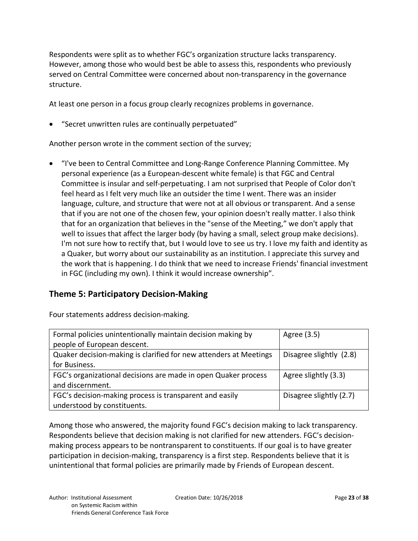Respondents were split as to whether FGC's organization structure lacks transparency. However, among those who would best be able to assess this, respondents who previously served on Central Committee were concerned about non-transparency in the governance structure.

At least one person in a focus group clearly recognizes problems in governance.

• "Secret unwritten rules are continually perpetuated"

Another person wrote in the comment section of the survey;

• "I've been to Central Committee and Long-Range Conference Planning Committee. My personal experience (as a European-descent white female) is that FGC and Central Committee is insular and self-perpetuating. I am not surprised that People of Color don't feel heard as I felt very much like an outsider the time I went. There was an insider language, culture, and structure that were not at all obvious or transparent. And a sense that if you are not one of the chosen few, your opinion doesn't really matter. I also think that for an organization that believes in the "sense of the Meeting," we don't apply that well to issues that affect the larger body (by having a small, select group make decisions). I'm not sure how to rectify that, but I would love to see us try. I love my faith and identity as a Quaker, but worry about our sustainability as an institution. I appreciate this survey and the work that is happening. I do think that we need to increase Friends' financial investment in FGC (including my own). I think it would increase ownership".

#### **Theme 5: Participatory Decision-Making**

Four statements address decision-making.

| Formal policies unintentionally maintain decision making by       | Agree (3.5)             |
|-------------------------------------------------------------------|-------------------------|
| people of European descent.                                       |                         |
| Quaker decision-making is clarified for new attenders at Meetings | Disagree slightly (2.8) |
| for Business.                                                     |                         |
| FGC's organizational decisions are made in open Quaker process    | Agree slightly (3.3)    |
| and discernment.                                                  |                         |
| FGC's decision-making process is transparent and easily           | Disagree slightly (2.7) |
| understood by constituents.                                       |                         |

Among those who answered, the majority found FGC's decision making to lack transparency. Respondents believe that decision making is not clarified for new attenders. FGC's decisionmaking process appears to be nontransparent to constituents. If our goal is to have greater participation in decision-making, transparency is a first step. Respondents believe that it is unintentional that formal policies are primarily made by Friends of European descent.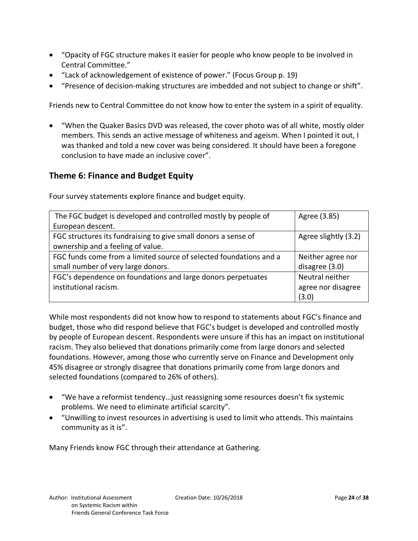- "Opacity of FGC structure makes it easier for people who know people to be involved in Central Committee."
- "Lack of acknowledgement of existence of power." (Focus Group p. 19)
- "Presence of decision-making structures are imbedded and not subject to change or shift".

Friends new to Central Committee do not know how to enter the system in a spirit of equality.

• "When the Quaker Basics DVD was released, the cover photo was of all white, mostly older members. This sends an active message of whiteness and ageism. When I pointed it out, I was thanked and told a new cover was being considered. It should have been a foregone conclusion to have made an inclusive cover".

#### **Theme 6: Finance and Budget Equity**

| The FGC budget is developed and controlled mostly by people of     | Agree (3.85)         |
|--------------------------------------------------------------------|----------------------|
| European descent.                                                  |                      |
| FGC structures its fundraising to give small donors a sense of     | Agree slightly (3.2) |
| ownership and a feeling of value.                                  |                      |
| FGC funds come from a limited source of selected foundations and a | Neither agree nor    |
| small number of very large donors.                                 | disagree (3.0)       |
| FGC's dependence on foundations and large donors perpetuates       | Neutral neither      |
| institutional racism.                                              | agree nor disagree   |
|                                                                    | (3.0)                |

Four survey statements explore finance and budget equity.

While most respondents did not know how to respond to statements about FGC's finance and budget, those who did respond believe that FGC's budget is developed and controlled mostly by people of European descent. Respondents were unsure if this has an impact on institutional racism. They also believed that donations primarily come from large donors and selected foundations. However, among those who currently serve on Finance and Development only 45% disagree or strongly disagree that donations primarily come from large donors and selected foundations (compared to 26% of others).

- "We have a reformist tendency…just reassigning some resources doesn't fix systemic problems. We need to eliminate artificial scarcity".
- "Unwilling to invest resources in advertising is used to limit who attends. This maintains community as it is".

Many Friends know FGC through their attendance at Gathering.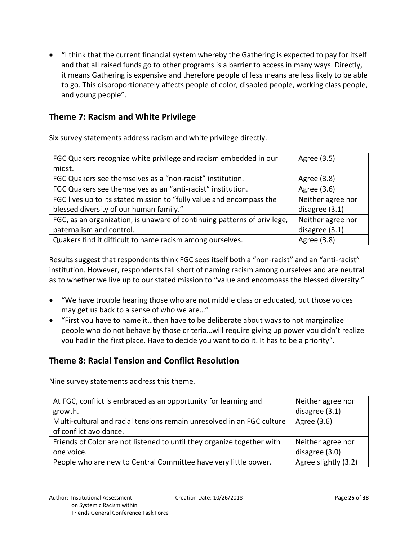• "I think that the current financial system whereby the Gathering is expected to pay for itself and that all raised funds go to other programs is a barrier to access in many ways. Directly, it means Gathering is expensive and therefore people of less means are less likely to be able to go. This disproportionately affects people of color, disabled people, working class people, and young people".

#### **Theme 7: Racism and White Privilege**

Six survey statements address racism and white privilege directly.

| FGC Quakers recognize white privilege and racism embedded in our         | Agree (3.5)       |
|--------------------------------------------------------------------------|-------------------|
| midst.                                                                   |                   |
| FGC Quakers see themselves as a "non-racist" institution.                | Agree (3.8)       |
| FGC Quakers see themselves as an "anti-racist" institution.              | Agree (3.6)       |
| FGC lives up to its stated mission to "fully value and encompass the     | Neither agree nor |
| blessed diversity of our human family."                                  | disagree (3.1)    |
| FGC, as an organization, is unaware of continuing patterns of privilege, | Neither agree nor |
| paternalism and control.                                                 | disagree (3.1)    |
| Quakers find it difficult to name racism among ourselves.                | Agree (3.8)       |

Results suggest that respondents think FGC sees itself both a "non-racist" and an "anti-racist" institution. However, respondents fall short of naming racism among ourselves and are neutral as to whether we live up to our stated mission to "value and encompass the blessed diversity."

- "We have trouble hearing those who are not middle class or educated, but those voices may get us back to a sense of who we are…"
- "First you have to name it…then have to be deliberate about ways to not marginalize people who do not behave by those criteria…will require giving up power you didn't realize you had in the first place. Have to decide you want to do it. It has to be a priority".

#### **Theme 8: Racial Tension and Conflict Resolution**

Nine survey statements address this theme.

| At FGC, conflict is embraced as an opportunity for learning and        | Neither agree nor    |
|------------------------------------------------------------------------|----------------------|
| growth.                                                                | disagree (3.1)       |
| Multi-cultural and racial tensions remain unresolved in an FGC culture | Agree (3.6)          |
| of conflict avoidance.                                                 |                      |
| Friends of Color are not listened to until they organize together with | Neither agree nor    |
| one voice.                                                             | disagree (3.0)       |
| People who are new to Central Committee have very little power.        | Agree slightly (3.2) |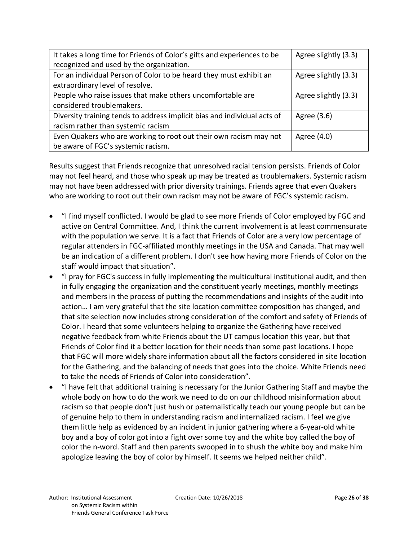| It takes a long time for Friends of Color's gifts and experiences to be  | Agree slightly (3.3) |
|--------------------------------------------------------------------------|----------------------|
| recognized and used by the organization.                                 |                      |
| For an individual Person of Color to be heard they must exhibit an       | Agree slightly (3.3) |
| extraordinary level of resolve.                                          |                      |
| People who raise issues that make others uncomfortable are               | Agree slightly (3.3) |
| considered troublemakers.                                                |                      |
| Diversity training tends to address implicit bias and individual acts of | Agree (3.6)          |
| racism rather than systemic racism                                       |                      |
| Even Quakers who are working to root out their own racism may not        | Agree (4.0)          |
| be aware of FGC's systemic racism.                                       |                      |

Results suggest that Friends recognize that unresolved racial tension persists. Friends of Color may not feel heard, and those who speak up may be treated as troublemakers. Systemic racism may not have been addressed with prior diversity trainings. Friends agree that even Quakers who are working to root out their own racism may not be aware of FGC's systemic racism.

- "I find myself conflicted. I would be glad to see more Friends of Color employed by FGC and active on Central Committee. And, I think the current involvement is at least commensurate with the population we serve. It is a fact that Friends of Color are a very low percentage of regular attenders in FGC-affiliated monthly meetings in the USA and Canada. That may well be an indication of a different problem. I don't see how having more Friends of Color on the staff would impact that situation".
- "I pray for FGC's success in fully implementing the multicultural institutional audit, and then in fully engaging the organization and the constituent yearly meetings, monthly meetings and members in the process of putting the recommendations and insights of the audit into action… I am very grateful that the site location committee composition has changed, and that site selection now includes strong consideration of the comfort and safety of Friends of Color. I heard that some volunteers helping to organize the Gathering have received negative feedback from white Friends about the UT campus location this year, but that Friends of Color find it a better location for their needs than some past locations. I hope that FGC will more widely share information about all the factors considered in site location for the Gathering, and the balancing of needs that goes into the choice. White Friends need to take the needs of Friends of Color into consideration".
- "I have felt that additional training is necessary for the Junior Gathering Staff and maybe the whole body on how to do the work we need to do on our childhood misinformation about racism so that people don't just hush or paternalistically teach our young people but can be of genuine help to them in understanding racism and internalized racism. I feel we give them little help as evidenced by an incident in junior gathering where a 6-year-old white boy and a boy of color got into a fight over some toy and the white boy called the boy of color the n-word. Staff and then parents swooped in to shush the white boy and make him apologize leaving the boy of color by himself. It seems we helped neither child".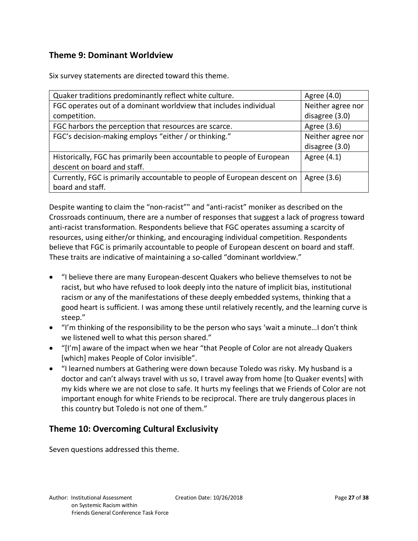#### **Theme 9: Dominant Worldview**

Six survey statements are directed toward this theme.

| Quaker traditions predominantly reflect white culture.                   | Agree (4.0)       |
|--------------------------------------------------------------------------|-------------------|
| FGC operates out of a dominant worldview that includes individual        | Neither agree nor |
| competition.                                                             | disagree (3.0)    |
| FGC harbors the perception that resources are scarce.                    | Agree (3.6)       |
| FGC's decision-making employs "either / or thinking."                    | Neither agree nor |
|                                                                          | disagree (3.0)    |
| Historically, FGC has primarily been accountable to people of European   | Agree (4.1)       |
| descent on board and staff.                                              |                   |
| Currently, FGC is primarily accountable to people of European descent on | Agree (3.6)       |
| board and staff.                                                         |                   |

Despite wanting to claim the "non-racist"" and "anti-racist" moniker as described on the Crossroads continuum, there are a number of responses that suggest a lack of progress toward anti-racist transformation. Respondents believe that FGC operates assuming a scarcity of resources, using either/or thinking, and encouraging individual competition. Respondents believe that FGC is primarily accountable to people of European descent on board and staff. These traits are indicative of maintaining a so-called "dominant worldview."

- "I believe there are many European-descent Quakers who believe themselves to not be racist, but who have refused to look deeply into the nature of implicit bias, institutional racism or any of the manifestations of these deeply embedded systems, thinking that a good heart is sufficient. I was among these until relatively recently, and the learning curve is steep."
- "I'm thinking of the responsibility to be the person who says 'wait a minute…I don't think we listened well to what this person shared."
- "[I'm] aware of the impact when we hear "that People of Color are not already Quakers [which] makes People of Color invisible".
- "I learned numbers at Gathering were down because Toledo was risky. My husband is a doctor and can't always travel with us so, I travel away from home [to Quaker events] with my kids where we are not close to safe. It hurts my feelings that we Friends of Color are not important enough for white Friends to be reciprocal. There are truly dangerous places in this country but Toledo is not one of them."

#### **Theme 10: Overcoming Cultural Exclusivity**

Seven questions addressed this theme.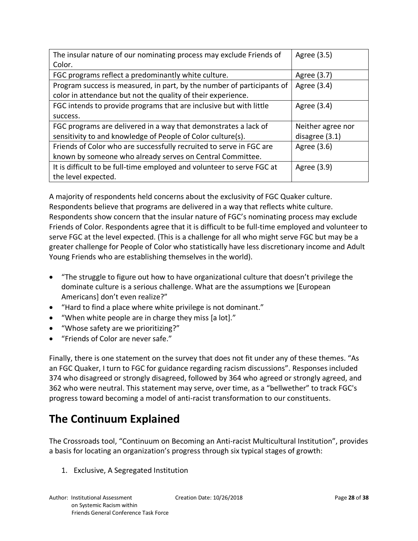| The insular nature of our nominating process may exclude Friends of    | Agree (3.5)       |
|------------------------------------------------------------------------|-------------------|
| Color.                                                                 |                   |
| FGC programs reflect a predominantly white culture.                    | Agree (3.7)       |
| Program success is measured, in part, by the number of participants of | Agree (3.4)       |
| color in attendance but not the quality of their experience.           |                   |
| FGC intends to provide programs that are inclusive but with little     | Agree (3.4)       |
| success.                                                               |                   |
| FGC programs are delivered in a way that demonstrates a lack of        | Neither agree nor |
| sensitivity to and knowledge of People of Color culture(s).            | disagree $(3.1)$  |
| Friends of Color who are successfully recruited to serve in FGC are    | Agree (3.6)       |
| known by someone who already serves on Central Committee.              |                   |
| It is difficult to be full-time employed and volunteer to serve FGC at | Agree (3.9)       |
| the level expected.                                                    |                   |

A majority of respondents held concerns about the exclusivity of FGC Quaker culture. Respondents believe that programs are delivered in a way that reflects white culture. Respondents show concern that the insular nature of FGC's nominating process may exclude Friends of Color. Respondents agree that it is difficult to be full-time employed and volunteer to serve FGC at the level expected. (This is a challenge for all who might serve FGC but may be a greater challenge for People of Color who statistically have less discretionary income and Adult Young Friends who are establishing themselves in the world).

- "The struggle to figure out how to have organizational culture that doesn't privilege the dominate culture is a serious challenge. What are the assumptions we [European Americans] don't even realize?"
- "Hard to find a place where white privilege is not dominant."
- "When white people are in charge they miss [a lot]."
- "Whose safety are we prioritizing?"
- "Friends of Color are never safe."

Finally, there is one statement on the survey that does not fit under any of these themes. "As an FGC Quaker, I turn to FGC for guidance regarding racism discussions". Responses included 374 who disagreed or strongly disagreed, followed by 364 who agreed or strongly agreed, and 362 who were neutral. This statement may serve, over time, as a "bellwether" to track FGC's progress toward becoming a model of anti-racist transformation to our constituents.

# **The Continuum Explained**

The Crossroads tool, "Continuum on Becoming an Anti-racist Multicultural Institution", provides a basis for locating an organization's progress through six typical stages of growth:

1. Exclusive, A Segregated Institution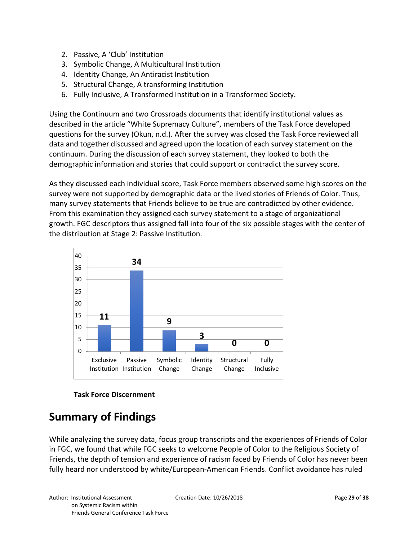- 2. Passive, A 'Club' Institution
- 3. Symbolic Change, A Multicultural Institution
- 4. Identity Change, An Antiracist Institution
- 5. Structural Change, A transforming Institution
- 6. Fully Inclusive, A Transformed Institution in a Transformed Society.

Using the Continuum and two Crossroads documents that identify institutional values as described in the article "White Supremacy Culture", members of the Task Force developed questions for the survey (Okun, n.d.). After the survey was closed the Task Force reviewed all data and together discussed and agreed upon the location of each survey statement on the continuum. During the discussion of each survey statement, they looked to both the demographic information and stories that could support or contradict the survey score.

As they discussed each individual score, Task Force members observed some high scores on the survey were not supported by demographic data or the lived stories of Friends of Color. Thus, many survey statements that Friends believe to be true are contradicted by other evidence. From this examination they assigned each survey statement to a stage of organizational growth. FGC descriptors thus assigned fall into four of the six possible stages with the center of the distribution at Stage 2: Passive Institution.





# **Summary of Findings**

While analyzing the survey data, focus group transcripts and the experiences of Friends of Color in FGC, we found that while FGC seeks to welcome People of Color to the Religious Society of Friends, the depth of tension and experience of racism faced by Friends of Color has never been fully heard nor understood by white/European-American Friends. Conflict avoidance has ruled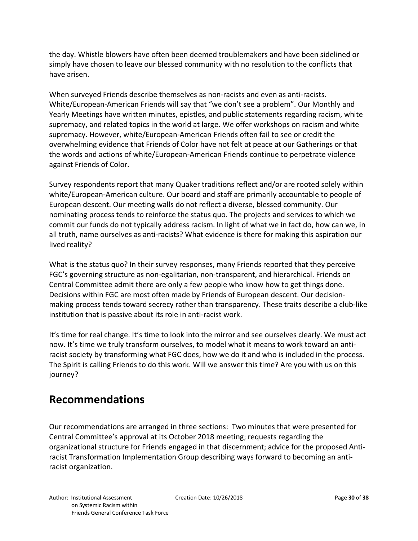the day. Whistle blowers have often been deemed troublemakers and have been sidelined or simply have chosen to leave our blessed community with no resolution to the conflicts that have arisen.

When surveyed Friends describe themselves as non-racists and even as anti-racists. White/European-American Friends will say that "we don't see a problem". Our Monthly and Yearly Meetings have written minutes, epistles, and public statements regarding racism, white supremacy, and related topics in the world at large. We offer workshops on racism and white supremacy. However, white/European-American Friends often fail to see or credit the overwhelming evidence that Friends of Color have not felt at peace at our Gatherings or that the words and actions of white/European-American Friends continue to perpetrate violence against Friends of Color.

Survey respondents report that many Quaker traditions reflect and/or are rooted solely within white/European-American culture. Our board and staff are primarily accountable to people of European descent. Our meeting walls do not reflect a diverse, blessed community. Our nominating process tends to reinforce the status quo. The projects and services to which we commit our funds do not typically address racism. In light of what we in fact do, how can we, in all truth, name ourselves as anti-racists? What evidence is there for making this aspiration our lived reality?

What is the status quo? In their survey responses, many Friends reported that they perceive FGC's governing structure as non-egalitarian, non-transparent, and hierarchical. Friends on Central Committee admit there are only a few people who know how to get things done. Decisions within FGC are most often made by Friends of European descent. Our decisionmaking process tends toward secrecy rather than transparency. These traits describe a club-like institution that is passive about its role in anti-racist work.

It's time for real change. It's time to look into the mirror and see ourselves clearly. We must act now. It's time we truly transform ourselves, to model what it means to work toward an antiracist society by transforming what FGC does, how we do it and who is included in the process. The Spirit is calling Friends to do this work. Will we answer this time? Are you with us on this journey?

## **Recommendations**

Our recommendations are arranged in three sections: Two minutes that were presented for Central Committee's approval at its October 2018 meeting; requests regarding the organizational structure for Friends engaged in that discernment; advice for the proposed Antiracist Transformation Implementation Group describing ways forward to becoming an antiracist organization.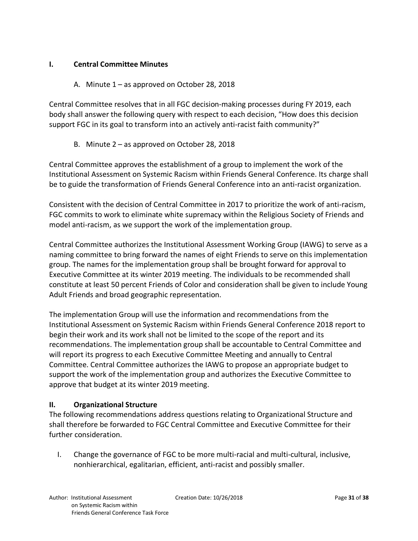#### **I. Central Committee Minutes**

#### A. Minute 1 – as approved on October 28, 2018

Central Committee resolves that in all FGC decision-making processes during FY 2019, each body shall answer the following query with respect to each decision, "How does this decision support FGC in its goal to transform into an actively anti-racist faith community?"

#### B. Minute 2 – as approved on October 28, 2018

Central Committee approves the establishment of a group to implement the work of the Institutional Assessment on Systemic Racism within Friends General Conference. Its charge shall be to guide the transformation of Friends General Conference into an anti-racist organization.

Consistent with the decision of Central Committee in 2017 to prioritize the work of anti-racism, FGC commits to work to eliminate white supremacy within the Religious Society of Friends and model anti-racism, as we support the work of the implementation group.

Central Committee authorizes the Institutional Assessment Working Group (IAWG) to serve as a naming committee to bring forward the names of eight Friends to serve on this implementation group. The names for the implementation group shall be brought forward for approval to Executive Committee at its winter 2019 meeting. The individuals to be recommended shall constitute at least 50 percent Friends of Color and consideration shall be given to include Young Adult Friends and broad geographic representation.

The implementation Group will use the information and recommendations from the Institutional Assessment on Systemic Racism within Friends General Conference 2018 report to begin their work and its work shall not be limited to the scope of the report and its recommendations. The implementation group shall be accountable to Central Committee and will report its progress to each Executive Committee Meeting and annually to Central Committee. Central Committee authorizes the IAWG to propose an appropriate budget to support the work of the implementation group and authorizes the Executive Committee to approve that budget at its winter 2019 meeting.

#### **II. Organizational Structure**

The following recommendations address questions relating to Organizational Structure and shall therefore be forwarded to FGC Central Committee and Executive Committee for their further consideration.

I. Change the governance of FGC to be more multi-racial and multi-cultural, inclusive, nonhierarchical, egalitarian, efficient, anti-racist and possibly smaller.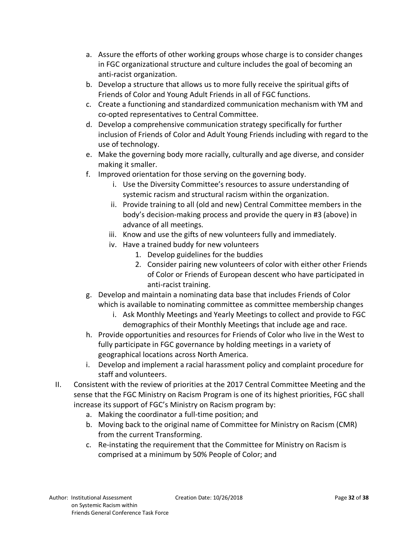- a. Assure the efforts of other working groups whose charge is to consider changes in FGC organizational structure and culture includes the goal of becoming an anti-racist organization.
- b. Develop a structure that allows us to more fully receive the spiritual gifts of Friends of Color and Young Adult Friends in all of FGC functions.
- c. Create a functioning and standardized communication mechanism with YM and co-opted representatives to Central Committee.
- d. Develop a comprehensive communication strategy specifically for further inclusion of Friends of Color and Adult Young Friends including with regard to the use of technology.
- e. Make the governing body more racially, culturally and age diverse, and consider making it smaller.
- f. Improved orientation for those serving on the governing body.
	- i. Use the Diversity Committee's resources to assure understanding of systemic racism and structural racism within the organization.
	- ii. Provide training to all (old and new) Central Committee members in the body's decision-making process and provide the query in #3 (above) in advance of all meetings.
	- iii. Know and use the gifts of new volunteers fully and immediately.
	- iv. Have a trained buddy for new volunteers
		- 1. Develop guidelines for the buddies
		- 2. Consider pairing new volunteers of color with either other Friends of Color or Friends of European descent who have participated in anti-racist training.
- g. Develop and maintain a nominating data base that includes Friends of Color which is available to nominating committee as committee membership changes
	- i. Ask Monthly Meetings and Yearly Meetings to collect and provide to FGC demographics of their Monthly Meetings that include age and race.
- h. Provide opportunities and resources for Friends of Color who live in the West to fully participate in FGC governance by holding meetings in a variety of geographical locations across North America.
- i. Develop and implement a racial harassment policy and complaint procedure for staff and volunteers.
- II. Consistent with the review of priorities at the 2017 Central Committee Meeting and the sense that the FGC Ministry on Racism Program is one of its highest priorities, FGC shall increase its support of FGC's Ministry on Racism program by:
	- a. Making the coordinator a full-time position; and
	- b. Moving back to the original name of Committee for Ministry on Racism (CMR) from the current Transforming.
	- c. Re-instating the requirement that the Committee for Ministry on Racism is comprised at a minimum by 50% People of Color; and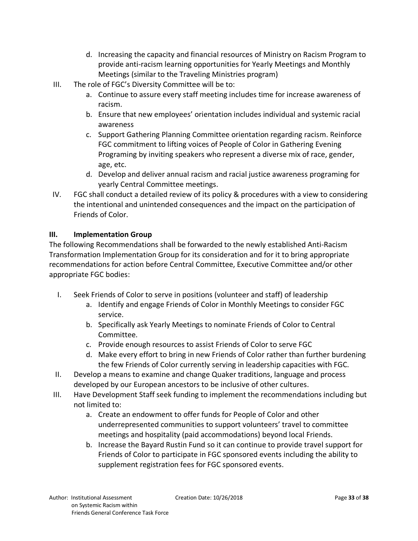- d. Increasing the capacity and financial resources of Ministry on Racism Program to provide anti-racism learning opportunities for Yearly Meetings and Monthly Meetings (similar to the Traveling Ministries program)
- III. The role of FGC's Diversity Committee will be to:
	- a. Continue to assure every staff meeting includes time for increase awareness of racism.
	- b. Ensure that new employees' orientation includes individual and systemic racial awareness
	- c. Support Gathering Planning Committee orientation regarding racism. Reinforce FGC commitment to lifting voices of People of Color in Gathering Evening Programing by inviting speakers who represent a diverse mix of race, gender, age, etc.
	- d. Develop and deliver annual racism and racial justice awareness programing for yearly Central Committee meetings.
- IV. FGC shall conduct a detailed review of its policy & procedures with a view to considering the intentional and unintended consequences and the impact on the participation of Friends of Color.

#### **III. Implementation Group**

The following Recommendations shall be forwarded to the newly established Anti-Racism Transformation Implementation Group for its consideration and for it to bring appropriate recommendations for action before Central Committee, Executive Committee and/or other appropriate FGC bodies:

- I. Seek Friends of Color to serve in positions (volunteer and staff) of leadership
	- a. Identify and engage Friends of Color in Monthly Meetings to consider FGC service.
	- b. Specifically ask Yearly Meetings to nominate Friends of Color to Central Committee.
	- c. Provide enough resources to assist Friends of Color to serve FGC
	- d. Make every effort to bring in new Friends of Color rather than further burdening the few Friends of Color currently serving in leadership capacities with FGC.
- II. Develop a means to examine and change Quaker traditions, language and process developed by our European ancestors to be inclusive of other cultures.
- III. Have Development Staff seek funding to implement the recommendations including but not limited to:
	- a. Create an endowment to offer funds for People of Color and other underrepresented communities to support volunteers' travel to committee meetings and hospitality (paid accommodations) beyond local Friends.
	- b. Increase the Bayard Rustin Fund so it can continue to provide travel support for Friends of Color to participate in FGC sponsored events including the ability to supplement registration fees for FGC sponsored events.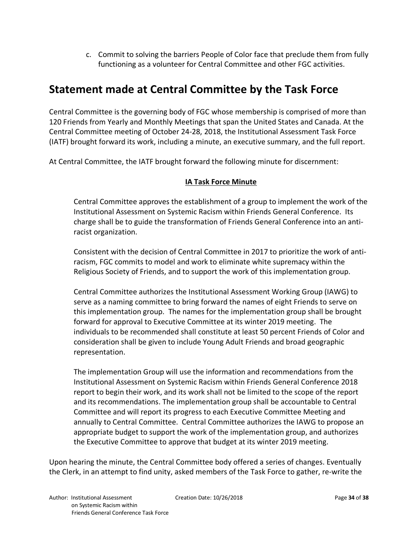c. Commit to solving the barriers People of Color face that preclude them from fully functioning as a volunteer for Central Committee and other FGC activities.

### **Statement made at Central Committee by the Task Force**

Central Committee is the governing body of FGC whose membership is comprised of more than 120 Friends from Yearly and Monthly Meetings that span the United States and Canada. At the Central Committee meeting of October 24-28, 2018, the Institutional Assessment Task Force (IATF) brought forward its work, including a minute, an executive summary, and the full report.

At Central Committee, the IATF brought forward the following minute for discernment:

#### **IA Task Force Minute**

Central Committee approves the establishment of a group to implement the work of the Institutional Assessment on Systemic Racism within Friends General Conference. Its charge shall be to guide the transformation of Friends General Conference into an antiracist organization.

Consistent with the decision of Central Committee in 2017 to prioritize the work of antiracism, FGC commits to model and work to eliminate white supremacy within the Religious Society of Friends, and to support the work of this implementation group.

Central Committee authorizes the Institutional Assessment Working Group (IAWG) to serve as a naming committee to bring forward the names of eight Friends to serve on this implementation group. The names for the implementation group shall be brought forward for approval to Executive Committee at its winter 2019 meeting. The individuals to be recommended shall constitute at least 50 percent Friends of Color and consideration shall be given to include Young Adult Friends and broad geographic representation.

The implementation Group will use the information and recommendations from the Institutional Assessment on Systemic Racism within Friends General Conference 2018 report to begin their work, and its work shall not be limited to the scope of the report and its recommendations. The implementation group shall be accountable to Central Committee and will report its progress to each Executive Committee Meeting and annually to Central Committee. Central Committee authorizes the IAWG to propose an appropriate budget to support the work of the implementation group, and authorizes the Executive Committee to approve that budget at its winter 2019 meeting.

Upon hearing the minute, the Central Committee body offered a series of changes. Eventually the Clerk, in an attempt to find unity, asked members of the Task Force to gather, re-write the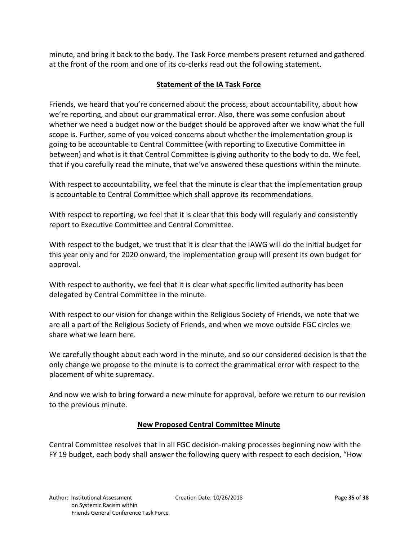minute, and bring it back to the body. The Task Force members present returned and gathered at the front of the room and one of its co-clerks read out the following statement.

#### **Statement of the IA Task Force**

Friends, we heard that you're concerned about the process, about accountability, about how we're reporting, and about our grammatical error. Also, there was some confusion about whether we need a budget now or the budget should be approved after we know what the full scope is. Further, some of you voiced concerns about whether the implementation group is going to be accountable to Central Committee (with reporting to Executive Committee in between) and what is it that Central Committee is giving authority to the body to do. We feel, that if you carefully read the minute, that we've answered these questions within the minute.

With respect to accountability, we feel that the minute is clear that the implementation group is accountable to Central Committee which shall approve its recommendations.

With respect to reporting, we feel that it is clear that this body will regularly and consistently report to Executive Committee and Central Committee.

With respect to the budget, we trust that it is clear that the IAWG will do the initial budget for this year only and for 2020 onward, the implementation group will present its own budget for approval.

With respect to authority, we feel that it is clear what specific limited authority has been delegated by Central Committee in the minute.

With respect to our vision for change within the Religious Society of Friends, we note that we are all a part of the Religious Society of Friends, and when we move outside FGC circles we share what we learn here.

We carefully thought about each word in the minute, and so our considered decision is that the only change we propose to the minute is to correct the grammatical error with respect to the placement of white supremacy.

And now we wish to bring forward a new minute for approval, before we return to our revision to the previous minute.

#### **New Proposed Central Committee Minute**

Central Committee resolves that in all FGC decision-making processes beginning now with the FY 19 budget, each body shall answer the following query with respect to each decision, "How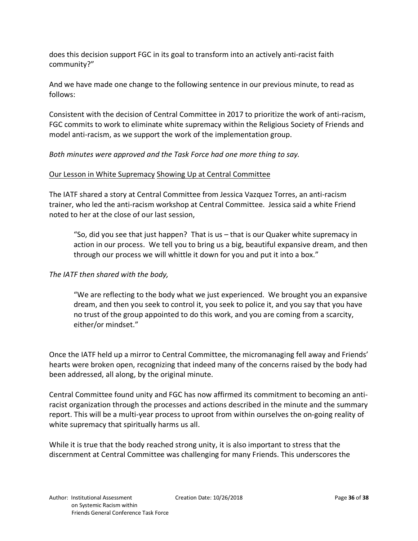does this decision support FGC in its goal to transform into an actively anti-racist faith community?"

And we have made one change to the following sentence in our previous minute, to read as follows:

Consistent with the decision of Central Committee in 2017 to prioritize the work of anti-racism, FGC commits to work to eliminate white supremacy within the Religious Society of Friends and model anti-racism, as we support the work of the implementation group.

*Both minutes were approved and the Task Force had one more thing to say.*

#### Our Lesson in White Supremacy Showing Up at Central Committee

The IATF shared a story at Central Committee from Jessica Vazquez Torres, an anti-racism trainer, who led the anti-racism workshop at Central Committee. Jessica said a white Friend noted to her at the close of our last session,

"So, did you see that just happen? That is us – that is our Quaker white supremacy in action in our process. We tell you to bring us a big, beautiful expansive dream, and then through our process we will whittle it down for you and put it into a box."

#### *The IATF then shared with the body,*

"We are reflecting to the body what we just experienced. We brought you an expansive dream, and then you seek to control it, you seek to police it, and you say that you have no trust of the group appointed to do this work, and you are coming from a scarcity, either/or mindset."

Once the IATF held up a mirror to Central Committee, the micromanaging fell away and Friends' hearts were broken open, recognizing that indeed many of the concerns raised by the body had been addressed, all along, by the original minute.

Central Committee found unity and FGC has now affirmed its commitment to becoming an antiracist organization through the processes and actions described in the minute and the summary report. This will be a multi-year process to uproot from within ourselves the on-going reality of white supremacy that spiritually harms us all.

While it is true that the body reached strong unity, it is also important to stress that the discernment at Central Committee was challenging for many Friends. This underscores the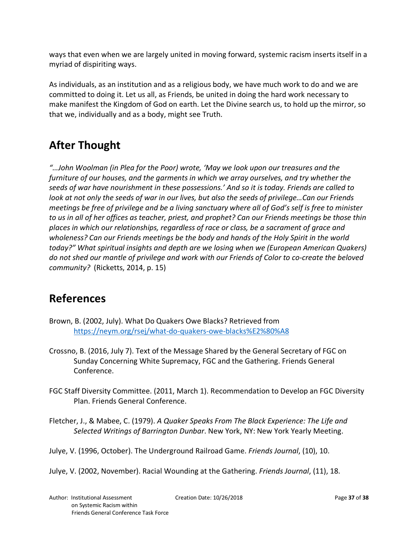ways that even when we are largely united in moving forward, systemic racism inserts itself in a myriad of dispiriting ways.

As individuals, as an institution and as a religious body, we have much work to do and we are committed to doing it. Let us all, as Friends, be united in doing the hard work necessary to make manifest the Kingdom of God on earth. Let the Divine search us, to hold up the mirror, so that we, individually and as a body, might see Truth.

# **After Thought**

*"…John Woolman (in Plea for the Poor) wrote, 'May we look upon our treasures and the furniture of our houses, and the garments in which we array ourselves, and try whether the seeds of war have nourishment in these possessions.' And so it is today. Friends are called to look at not only the seeds of war in our lives, but also the seeds of privilege…Can our Friends meetings be free of privilege and be a living sanctuary where all of God's self is free to minister to us in all of her offices as teacher, priest, and prophet? Can our Friends meetings be those thin places in which our relationships, regardless of race or class, be a sacrament of grace and wholeness? Can our Friends meetings be the body and hands of the Holy Spirit in the world today?" What spiritual insights and depth are we losing when we (European American Quakers) do not shed our mantle of privilege and work with our Friends of Color to co-create the beloved community?* (Ricketts, 2014, p. 15)

# **References**

- Brown, B. (2002, July). What Do Quakers Owe Blacks? Retrieved from https://neym.org/rsej/what-do-quakers-owe-blacks%E2%80%A8
- Crossno, B. (2016, July 7). Text of the Message Shared by the General Secretary of FGC on Sunday Concerning White Supremacy, FGC and the Gathering. Friends General Conference.
- FGC Staff Diversity Committee. (2011, March 1). Recommendation to Develop an FGC Diversity Plan. Friends General Conference.

Fletcher, J., & Mabee, C. (1979). *A Quaker Speaks From The Black Experience: The Life and Selected Writings of Barrington Dunbar*. New York, NY: New York Yearly Meeting.

Julye, V. (1996, October). The Underground Railroad Game. *Friends Journal*, (10), 10.

Julye, V. (2002, November). Racial Wounding at the Gathering. *Friends Journal*, (11), 18.